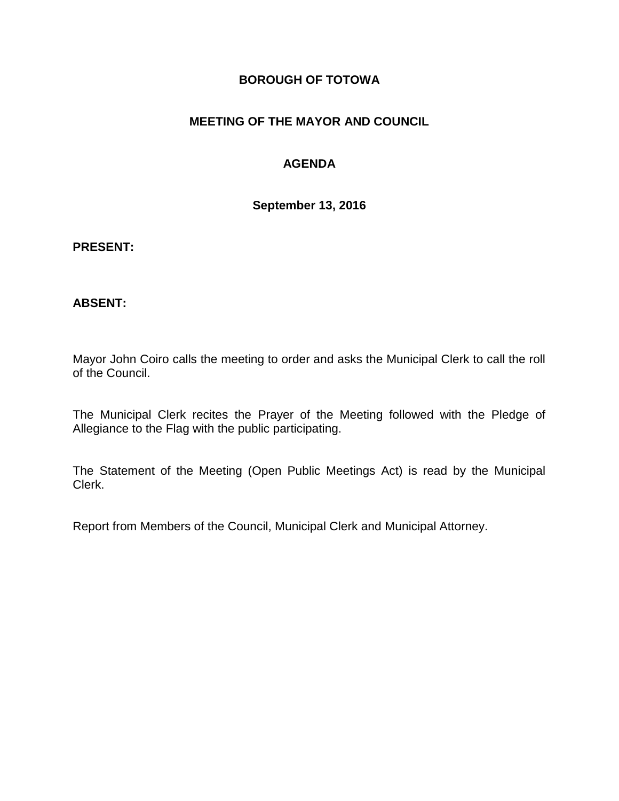### **BOROUGH OF TOTOWA**

### **MEETING OF THE MAYOR AND COUNCIL**

### **AGENDA**

**September 13, 2016**

#### **PRESENT:**

#### **ABSENT:**

Mayor John Coiro calls the meeting to order and asks the Municipal Clerk to call the roll of the Council.

The Municipal Clerk recites the Prayer of the Meeting followed with the Pledge of Allegiance to the Flag with the public participating.

The Statement of the Meeting (Open Public Meetings Act) is read by the Municipal Clerk.

Report from Members of the Council, Municipal Clerk and Municipal Attorney.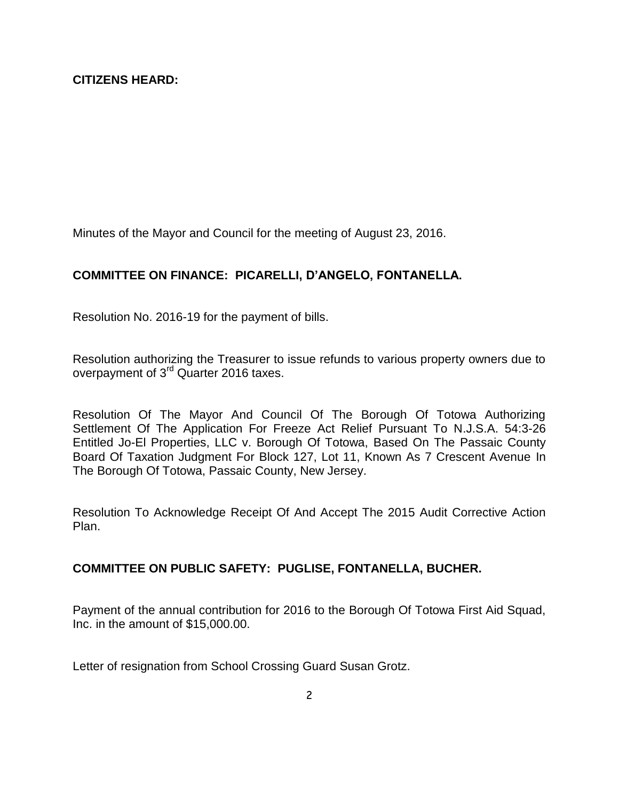Minutes of the Mayor and Council for the meeting of August 23, 2016.

#### **COMMITTEE ON FINANCE: PICARELLI, D'ANGELO, FONTANELLA.**

Resolution No. 2016-19 for the payment of bills.

Resolution authorizing the Treasurer to issue refunds to various property owners due to overpayment of 3<sup>rd</sup> Quarter 2016 taxes.

Resolution Of The Mayor And Council Of The Borough Of Totowa Authorizing Settlement Of The Application For Freeze Act Relief Pursuant To N.J.S.A. 54:3-26 Entitled Jo-El Properties, LLC v. Borough Of Totowa, Based On The Passaic County Board Of Taxation Judgment For Block 127, Lot 11, Known As 7 Crescent Avenue In The Borough Of Totowa, Passaic County, New Jersey.

Resolution To Acknowledge Receipt Of And Accept The 2015 Audit Corrective Action Plan.

#### **COMMITTEE ON PUBLIC SAFETY: PUGLISE, FONTANELLA, BUCHER.**

Payment of the annual contribution for 2016 to the Borough Of Totowa First Aid Squad, Inc. in the amount of \$15,000.00.

Letter of resignation from School Crossing Guard Susan Grotz.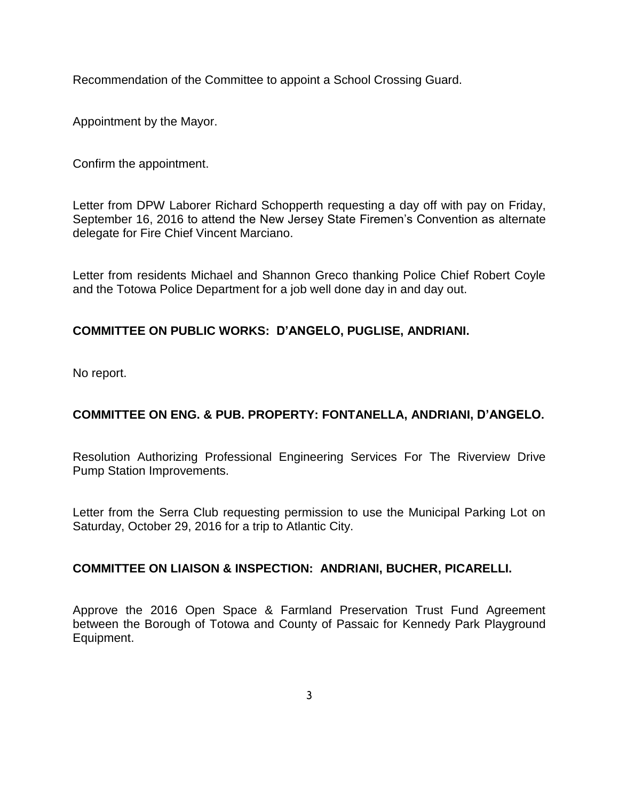Recommendation of the Committee to appoint a School Crossing Guard.

Appointment by the Mayor.

Confirm the appointment.

Letter from DPW Laborer Richard Schopperth requesting a day off with pay on Friday, September 16, 2016 to attend the New Jersey State Firemen's Convention as alternate delegate for Fire Chief Vincent Marciano.

Letter from residents Michael and Shannon Greco thanking Police Chief Robert Coyle and the Totowa Police Department for a job well done day in and day out.

## **COMMITTEE ON PUBLIC WORKS: D'ANGELO, PUGLISE, ANDRIANI.**

No report.

## **COMMITTEE ON ENG. & PUB. PROPERTY: FONTANELLA, ANDRIANI, D'ANGELO.**

Resolution Authorizing Professional Engineering Services For The Riverview Drive Pump Station Improvements.

Letter from the Serra Club requesting permission to use the Municipal Parking Lot on Saturday, October 29, 2016 for a trip to Atlantic City.

#### **COMMITTEE ON LIAISON & INSPECTION: ANDRIANI, BUCHER, PICARELLI.**

Approve the 2016 Open Space & Farmland Preservation Trust Fund Agreement between the Borough of Totowa and County of Passaic for Kennedy Park Playground Equipment.